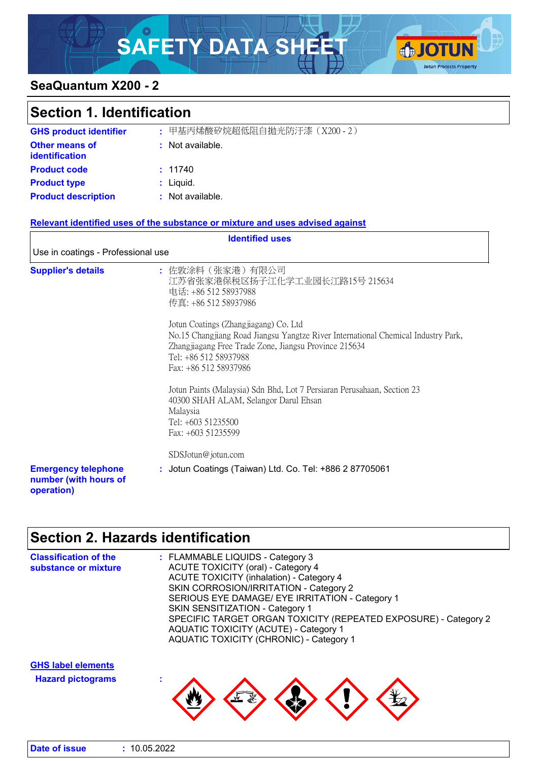# SAFETY DATA SHEET **GJOTUN**



## **SeaQuantum X200 - 2**

| <b>Section 1. Identification</b>                                  |                                                                                                                                                                                                                                                                                                                                                                                                                                                                                                                                              |  |
|-------------------------------------------------------------------|----------------------------------------------------------------------------------------------------------------------------------------------------------------------------------------------------------------------------------------------------------------------------------------------------------------------------------------------------------------------------------------------------------------------------------------------------------------------------------------------------------------------------------------------|--|
| <b>GHS product identifier</b>                                     | : 甲基丙烯酸矽烷超低阻自拋光防汙漆 (X200-2)                                                                                                                                                                                                                                                                                                                                                                                                                                                                                                                  |  |
| <b>Other means of</b><br><b>identification</b>                    | : Not available.                                                                                                                                                                                                                                                                                                                                                                                                                                                                                                                             |  |
| <b>Product code</b>                                               | : 11740                                                                                                                                                                                                                                                                                                                                                                                                                                                                                                                                      |  |
| <b>Product type</b>                                               | : Liquid.                                                                                                                                                                                                                                                                                                                                                                                                                                                                                                                                    |  |
| <b>Product description</b>                                        | : Not available.                                                                                                                                                                                                                                                                                                                                                                                                                                                                                                                             |  |
|                                                                   | Relevant identified uses of the substance or mixture and uses advised against                                                                                                                                                                                                                                                                                                                                                                                                                                                                |  |
|                                                                   | <b>Identified uses</b>                                                                                                                                                                                                                                                                                                                                                                                                                                                                                                                       |  |
| Use in coatings - Professional use                                |                                                                                                                                                                                                                                                                                                                                                                                                                                                                                                                                              |  |
| <b>Supplier's details</b>                                         | : 佐敦涂料(张家港)有限公司<br>江苏省张家港保税区扬子江化学工业园长江路15号 215634<br>电话: +86 512 58937988<br>传真: +86 512 58937986<br>Jotun Coatings (Zhangjiagang) Co. Ltd<br>No.15 Changjiang Road Jiangsu Yangtze River International Chemical Industry Park,<br>Zhangjiagang Free Trade Zone, Jiangsu Province 215634<br>Tel: +86 512 58937988<br>Fax: +86 512 58937986<br>Jotun Paints (Malaysia) Sdn Bhd, Lot 7 Persiaran Perusahaan, Section 23<br>40300 SHAH ALAM, Selangor Darul Ehsan<br>Malaysia<br>Tel: +603 51235500<br>Fax: +603 51235599<br>SDSJotun@jotun.com |  |
| <b>Emergency telephone</b><br>number (with hours of<br>operation) | : Jotun Coatings (Taiwan) Ltd. Co. Tel: +886 2 87705061                                                                                                                                                                                                                                                                                                                                                                                                                                                                                      |  |

## **Section 2. Hazards identification**

| <b>Classification of the</b><br>substance or mixture  | : FLAMMABLE LIQUIDS - Category 3<br><b>ACUTE TOXICITY (oral) - Category 4</b><br><b>ACUTE TOXICITY (inhalation) - Category 4</b><br>SKIN CORROSION/IRRITATION - Category 2<br>SERIOUS EYE DAMAGE/ EYE IRRITATION - Category 1<br>SKIN SENSITIZATION - Category 1<br>SPECIFIC TARGET ORGAN TOXICITY (REPEATED EXPOSURE) - Category 2<br><b>AQUATIC TOXICITY (ACUTE) - Category 1</b><br><b>AQUATIC TOXICITY (CHRONIC) - Category 1</b> |
|-------------------------------------------------------|---------------------------------------------------------------------------------------------------------------------------------------------------------------------------------------------------------------------------------------------------------------------------------------------------------------------------------------------------------------------------------------------------------------------------------------|
| <b>GHS label elements</b><br><b>Hazard pictograms</b> |                                                                                                                                                                                                                                                                                                                                                                                                                                       |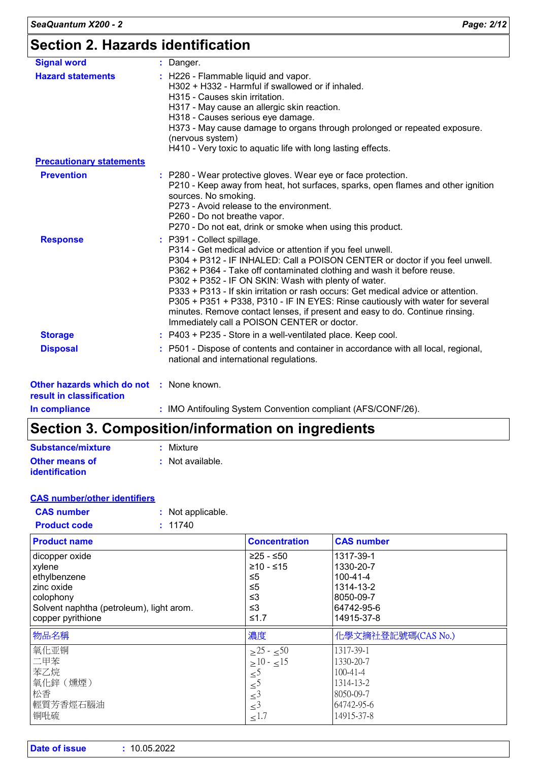| <b>Signal word</b>                                                   | : Danger.                                                                                                                                                                                                                                                                                                                                                                                                                                                                                                                                                                                                        |
|----------------------------------------------------------------------|------------------------------------------------------------------------------------------------------------------------------------------------------------------------------------------------------------------------------------------------------------------------------------------------------------------------------------------------------------------------------------------------------------------------------------------------------------------------------------------------------------------------------------------------------------------------------------------------------------------|
| <b>Hazard statements</b>                                             | : H226 - Flammable liquid and vapor.<br>H302 + H332 - Harmful if swallowed or if inhaled.<br>H315 - Causes skin irritation.<br>H317 - May cause an allergic skin reaction.<br>H318 - Causes serious eye damage.<br>H373 - May cause damage to organs through prolonged or repeated exposure.<br>(nervous system)<br>H410 - Very toxic to aquatic life with long lasting effects.                                                                                                                                                                                                                                 |
| <b>Precautionary statements</b>                                      |                                                                                                                                                                                                                                                                                                                                                                                                                                                                                                                                                                                                                  |
| <b>Prevention</b>                                                    | : P280 - Wear protective gloves. Wear eye or face protection.<br>P210 - Keep away from heat, hot surfaces, sparks, open flames and other ignition<br>sources. No smoking.<br>P273 - Avoid release to the environment.<br>P260 - Do not breathe vapor.<br>P270 - Do not eat, drink or smoke when using this product.                                                                                                                                                                                                                                                                                              |
| <b>Response</b>                                                      | : P391 - Collect spillage.<br>P314 - Get medical advice or attention if you feel unwell.<br>P304 + P312 - IF INHALED: Call a POISON CENTER or doctor if you feel unwell.<br>P362 + P364 - Take off contaminated clothing and wash it before reuse.<br>P302 + P352 - IF ON SKIN: Wash with plenty of water.<br>P333 + P313 - If skin irritation or rash occurs: Get medical advice or attention.<br>P305 + P351 + P338, P310 - IF IN EYES: Rinse cautiously with water for several<br>minutes. Remove contact lenses, if present and easy to do. Continue rinsing.<br>Immediately call a POISON CENTER or doctor. |
| <b>Storage</b>                                                       | : P403 + P235 - Store in a well-ventilated place. Keep cool.                                                                                                                                                                                                                                                                                                                                                                                                                                                                                                                                                     |
| <b>Disposal</b>                                                      | : P501 - Dispose of contents and container in accordance with all local, regional,<br>national and international regulations.                                                                                                                                                                                                                                                                                                                                                                                                                                                                                    |
| Other hazards which do not : None known.<br>result in classification |                                                                                                                                                                                                                                                                                                                                                                                                                                                                                                                                                                                                                  |
| La construcción de la constitución                                   | $\mathbf{A} \cap \mathbf{A}$                                                                                                                                                                                                                                                                                                                                                                                                                                                                                                                                                                                     |

**In compliance :** IMO Antifouling System Convention compliant (AFS/CONF/26).

## **Section 3. Composition/information on ingredients**

| Substance/mixture     | : Mixture        |
|-----------------------|------------------|
| <b>Other means of</b> | : Not available. |
| <b>identification</b> |                  |

|--|

| <b>CAS number</b> | : Not applicable. |
|-------------------|-------------------|
|                   |                   |

| <b>Product code</b> | : 11740 |
|---------------------|---------|
|                     |         |

| <b>Product name</b>                      | <b>Concentration</b>                       | <b>CAS number</b>  |
|------------------------------------------|--------------------------------------------|--------------------|
| dicopper oxide                           | $≥25 - ≤50$                                | 1317-39-1          |
| xylene                                   | $≥10 - ≤15$                                | 1330-20-7          |
| ethylbenzene                             | ≤5                                         | $100 - 41 - 4$     |
| zinc oxide                               | ≤5                                         | 1314-13-2          |
| colophony                                | ≤3                                         | 8050-09-7          |
| Solvent naphtha (petroleum), light arom. | ≤3                                         | 64742-95-6         |
| copper pyrithione                        | ≤1.7                                       | 14915-37-8         |
|                                          |                                            |                    |
| 物品名稱                                     | 濃度                                         | 化學文摘社登記號碼(CAS No.) |
| 氧化亚铜                                     | $>25 - 50$                                 | 1317-39-1          |
| 二甲苯                                      | $>10 - 15$                                 | 1330-20-7          |
| 苯乙烷                                      |                                            | $100 - 41 - 4$     |
| 氧化鋅 (燻煙)                                 | $\leq$ <sup>5</sup>                        | 1314-13-2          |
| 松香                                       | $\leq$ <sup>5</sup>                        | 8050-09-7          |
| 輕質芳香烴石腦油                                 | $\leq$ <sup>3</sup><br>$\leq$ <sup>3</sup> | 64742-95-6         |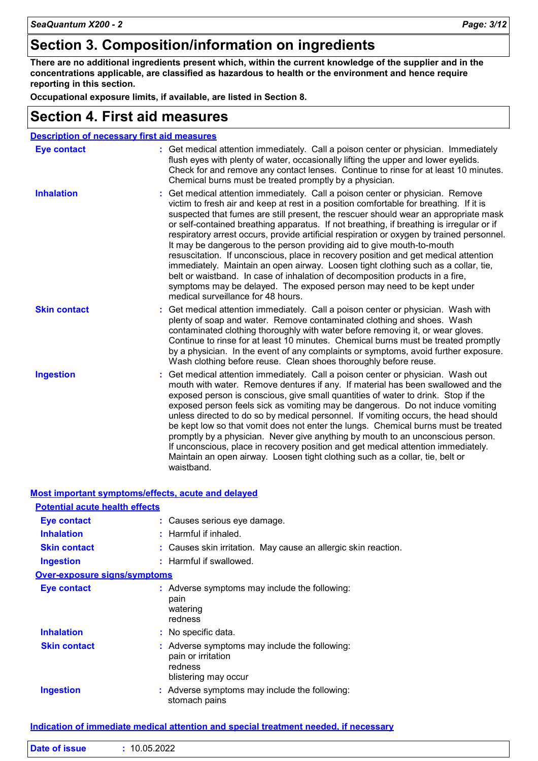## **Section 3. Composition/information on ingredients**

**There are no additional ingredients present which, within the current knowledge of the supplier and in the concentrations applicable, are classified as hazardous to health or the environment and hence require reporting in this section.**

**Occupational exposure limits, if available, are listed in Section 8.**

## **Section 4. First aid measures**

|                     | <b>Description of necessary first aid measures</b>                                                                                                                                                                                                                                                                                                                                                                                                                                                                                                                                                                                                                                                                                                                                                                                                                                                            |
|---------------------|---------------------------------------------------------------------------------------------------------------------------------------------------------------------------------------------------------------------------------------------------------------------------------------------------------------------------------------------------------------------------------------------------------------------------------------------------------------------------------------------------------------------------------------------------------------------------------------------------------------------------------------------------------------------------------------------------------------------------------------------------------------------------------------------------------------------------------------------------------------------------------------------------------------|
| <b>Eye contact</b>  | : Get medical attention immediately. Call a poison center or physician. Immediately<br>flush eyes with plenty of water, occasionally lifting the upper and lower eyelids.<br>Check for and remove any contact lenses. Continue to rinse for at least 10 minutes.<br>Chemical burns must be treated promptly by a physician.                                                                                                                                                                                                                                                                                                                                                                                                                                                                                                                                                                                   |
| <b>Inhalation</b>   | Get medical attention immediately. Call a poison center or physician. Remove<br>victim to fresh air and keep at rest in a position comfortable for breathing. If it is<br>suspected that fumes are still present, the rescuer should wear an appropriate mask<br>or self-contained breathing apparatus. If not breathing, if breathing is irregular or if<br>respiratory arrest occurs, provide artificial respiration or oxygen by trained personnel.<br>It may be dangerous to the person providing aid to give mouth-to-mouth<br>resuscitation. If unconscious, place in recovery position and get medical attention<br>immediately. Maintain an open airway. Loosen tight clothing such as a collar, tie,<br>belt or waistband. In case of inhalation of decomposition products in a fire,<br>symptoms may be delayed. The exposed person may need to be kept under<br>medical surveillance for 48 hours. |
| <b>Skin contact</b> | : Get medical attention immediately. Call a poison center or physician. Wash with<br>plenty of soap and water. Remove contaminated clothing and shoes. Wash<br>contaminated clothing thoroughly with water before removing it, or wear gloves.<br>Continue to rinse for at least 10 minutes. Chemical burns must be treated promptly<br>by a physician. In the event of any complaints or symptoms, avoid further exposure.<br>Wash clothing before reuse. Clean shoes thoroughly before reuse.                                                                                                                                                                                                                                                                                                                                                                                                               |
| <b>Ingestion</b>    | Get medical attention immediately. Call a poison center or physician. Wash out<br>mouth with water. Remove dentures if any. If material has been swallowed and the<br>exposed person is conscious, give small quantities of water to drink. Stop if the<br>exposed person feels sick as vomiting may be dangerous. Do not induce vomiting<br>unless directed to do so by medical personnel. If vomiting occurs, the head should<br>be kept low so that vomit does not enter the lungs. Chemical burns must be treated<br>promptly by a physician. Never give anything by mouth to an unconscious person.<br>If unconscious, place in recovery position and get medical attention immediately.<br>Maintain an open airway. Loosen tight clothing such as a collar, tie, belt or<br>waistband.                                                                                                                  |

| Most important symptoms/effects, acute and delayed |                                                                                                        |
|----------------------------------------------------|--------------------------------------------------------------------------------------------------------|
| <b>Potential acute health effects</b>              |                                                                                                        |
| Eye contact                                        | : Causes serious eye damage.                                                                           |
| <b>Inhalation</b>                                  | $:$ Harmful if inhaled.                                                                                |
| <b>Skin contact</b>                                | : Causes skin irritation. May cause an allergic skin reaction.                                         |
| <b>Ingestion</b>                                   | : Harmful if swallowed.                                                                                |
| <b>Over-exposure signs/symptoms</b>                |                                                                                                        |
| Eye contact                                        | $:$ Adverse symptoms may include the following:<br>pain<br>watering<br>redness                         |
| <b>Inhalation</b>                                  | : No specific data.                                                                                    |
| <b>Skin contact</b>                                | : Adverse symptoms may include the following:<br>pain or irritation<br>redness<br>blistering may occur |
| <b>Ingestion</b>                                   | : Adverse symptoms may include the following:<br>stomach pains                                         |

#### **Indication of immediate medical attention and special treatment needed, if necessary**

|  | <b>Date of issue</b> | 10.05.2022 |
|--|----------------------|------------|
|--|----------------------|------------|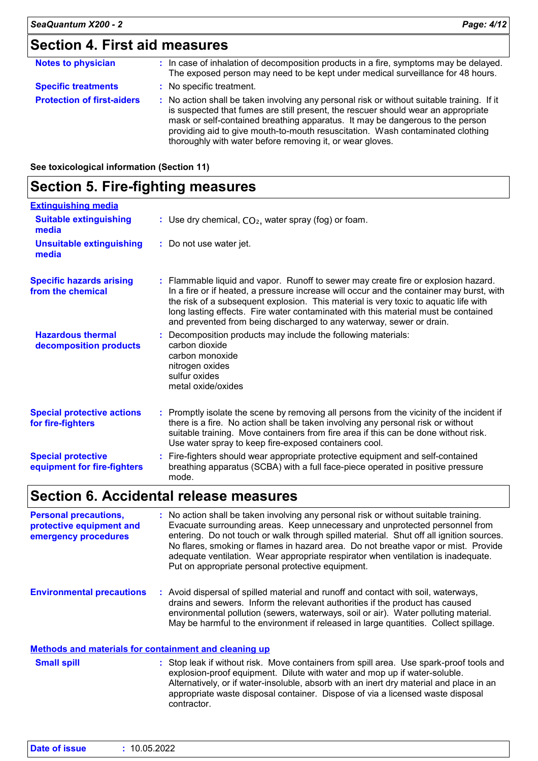## **Section 4. First aid measures**

| <b>Notes to physician</b>         | : In case of inhalation of decomposition products in a fire, symptoms may be delayed.<br>The exposed person may need to be kept under medical surveillance for 48 hours.                                                                                                                                                                                                                                        |
|-----------------------------------|-----------------------------------------------------------------------------------------------------------------------------------------------------------------------------------------------------------------------------------------------------------------------------------------------------------------------------------------------------------------------------------------------------------------|
| <b>Specific treatments</b>        | : No specific treatment.                                                                                                                                                                                                                                                                                                                                                                                        |
| <b>Protection of first-aiders</b> | : No action shall be taken involving any personal risk or without suitable training. If it<br>is suspected that fumes are still present, the rescuer should wear an appropriate<br>mask or self-contained breathing apparatus. It may be dangerous to the person<br>providing aid to give mouth-to-mouth resuscitation. Wash contaminated clothing<br>thoroughly with water before removing it, or wear gloves. |

| See toxicological information (Section 11) |  |
|--------------------------------------------|--|
|--------------------------------------------|--|

### **Section 5. Fire-fighting measures**

| <b>Extinguishing media</b>                               |                                                                                                                                                                                                                                                                                                                                                                                                                                      |
|----------------------------------------------------------|--------------------------------------------------------------------------------------------------------------------------------------------------------------------------------------------------------------------------------------------------------------------------------------------------------------------------------------------------------------------------------------------------------------------------------------|
| <b>Suitable extinguishing</b><br>media                   | : Use dry chemical, $CO2$ , water spray (fog) or foam.                                                                                                                                                                                                                                                                                                                                                                               |
| <b>Unsuitable extinguishing</b><br>media                 | : Do not use water jet.                                                                                                                                                                                                                                                                                                                                                                                                              |
| <b>Specific hazards arising</b><br>from the chemical     | : Flammable liquid and vapor. Runoff to sewer may create fire or explosion hazard.<br>In a fire or if heated, a pressure increase will occur and the container may burst, with<br>the risk of a subsequent explosion. This material is very toxic to aquatic life with<br>long lasting effects. Fire water contaminated with this material must be contained<br>and prevented from being discharged to any waterway, sewer or drain. |
| <b>Hazardous thermal</b><br>decomposition products       | : Decomposition products may include the following materials:<br>carbon dioxide<br>carbon monoxide<br>nitrogen oxides<br>sulfur oxides<br>metal oxide/oxides                                                                                                                                                                                                                                                                         |
| <b>Special protective actions</b><br>for fire-fighters   | : Promptly isolate the scene by removing all persons from the vicinity of the incident if<br>there is a fire. No action shall be taken involving any personal risk or without<br>suitable training. Move containers from fire area if this can be done without risk.<br>Use water spray to keep fire-exposed containers cool.                                                                                                        |
| <b>Special protective</b><br>equipment for fire-fighters | : Fire-fighters should wear appropriate protective equipment and self-contained<br>breathing apparatus (SCBA) with a full face-piece operated in positive pressure<br>mode.                                                                                                                                                                                                                                                          |

## **Section 6. Accidental release measures**

**Personal precautions, protective equipment and emergency procedures :** No action shall be taken involving any personal risk or without suitable training. Evacuate surrounding areas. Keep unnecessary and unprotected personnel from entering. Do not touch or walk through spilled material. Shut off all ignition sources. No flares, smoking or flames in hazard area. Do not breathe vapor or mist. Provide adequate ventilation. Wear appropriate respirator when ventilation is inadequate. Put on appropriate personal protective equipment.

**Environmental precautions :** Avoid dispersal of spilled material and runoff and contact with soil, waterways, drains and sewers. Inform the relevant authorities if the product has caused environmental pollution (sewers, waterways, soil or air). Water polluting material. May be harmful to the environment if released in large quantities. Collect spillage.

#### **Methods and materials for containment and cleaning up**

: Stop leak if without risk. Move containers from spill area. Use spark-proof tools and explosion-proof equipment. Dilute with water and mop up if water-soluble. Alternatively, or if water-insoluble, absorb with an inert dry material and place in an appropriate waste disposal container. Dispose of via a licensed waste disposal contractor. **Small spill :**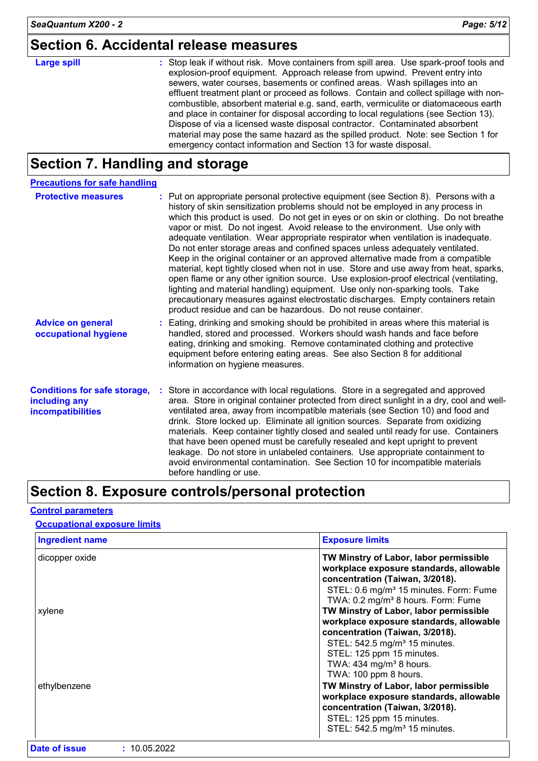## **Section 6. Accidental release measures**

## **Large spill :**

Stop leak if without risk. Move containers from spill area. Use spark-proof tools and explosion-proof equipment. Approach release from upwind. Prevent entry into sewers, water courses, basements or confined areas. Wash spillages into an effluent treatment plant or proceed as follows. Contain and collect spillage with noncombustible, absorbent material e.g. sand, earth, vermiculite or diatomaceous earth and place in container for disposal according to local regulations (see Section 13). Dispose of via a licensed waste disposal contractor. Contaminated absorbent material may pose the same hazard as the spilled product. Note: see Section 1 for emergency contact information and Section 13 for waste disposal.

## **Section 7. Handling and storage**

| <b>Precautions for safe handling</b>                                      |                                                                                                                                                                                                                                                                                                                                                                                                                                                                                                                                                                                                                                                                                                                                                                                                                                                                                                                                                                                                                                |
|---------------------------------------------------------------------------|--------------------------------------------------------------------------------------------------------------------------------------------------------------------------------------------------------------------------------------------------------------------------------------------------------------------------------------------------------------------------------------------------------------------------------------------------------------------------------------------------------------------------------------------------------------------------------------------------------------------------------------------------------------------------------------------------------------------------------------------------------------------------------------------------------------------------------------------------------------------------------------------------------------------------------------------------------------------------------------------------------------------------------|
| <b>Protective measures</b>                                                | : Put on appropriate personal protective equipment (see Section 8). Persons with a<br>history of skin sensitization problems should not be employed in any process in<br>which this product is used. Do not get in eyes or on skin or clothing. Do not breathe<br>vapor or mist. Do not ingest. Avoid release to the environment. Use only with<br>adequate ventilation. Wear appropriate respirator when ventilation is inadequate.<br>Do not enter storage areas and confined spaces unless adequately ventilated.<br>Keep in the original container or an approved alternative made from a compatible<br>material, kept tightly closed when not in use. Store and use away from heat, sparks,<br>open flame or any other ignition source. Use explosion-proof electrical (ventilating,<br>lighting and material handling) equipment. Use only non-sparking tools. Take<br>precautionary measures against electrostatic discharges. Empty containers retain<br>product residue and can be hazardous. Do not reuse container. |
| <b>Advice on general</b><br>occupational hygiene                          | : Eating, drinking and smoking should be prohibited in areas where this material is<br>handled, stored and processed. Workers should wash hands and face before<br>eating, drinking and smoking. Remove contaminated clothing and protective<br>equipment before entering eating areas. See also Section 8 for additional<br>information on hygiene measures.                                                                                                                                                                                                                                                                                                                                                                                                                                                                                                                                                                                                                                                                  |
| <b>Conditions for safe storage,</b><br>including any<br>incompatibilities | : Store in accordance with local regulations. Store in a segregated and approved<br>area. Store in original container protected from direct sunlight in a dry, cool and well-<br>ventilated area, away from incompatible materials (see Section 10) and food and<br>drink. Store locked up. Eliminate all ignition sources. Separate from oxidizing<br>materials. Keep container tightly closed and sealed until ready for use. Containers<br>that have been opened must be carefully resealed and kept upright to prevent<br>leakage. Do not store in unlabeled containers. Use appropriate containment to<br>avoid environmental contamination. See Section 10 for incompatible materials<br>before handling or use.                                                                                                                                                                                                                                                                                                         |

## **Section 8. Exposure controls/personal protection**

#### **Control parameters**

#### **Occupational exposure limits**

| <b>Ingredient name</b> | <b>Exposure limits</b>                                                                                                                                                                                                                                           |
|------------------------|------------------------------------------------------------------------------------------------------------------------------------------------------------------------------------------------------------------------------------------------------------------|
| dicopper oxide         | TW Minstry of Labor, labor permissible<br>workplace exposure standards, allowable<br>concentration (Taiwan, 3/2018).<br>STEL: 0.6 mg/m <sup>3</sup> 15 minutes. Form: Fume<br>TWA: 0.2 mg/m <sup>3</sup> 8 hours. Form: Fume                                     |
| xylene                 | TW Minstry of Labor, labor permissible<br>workplace exposure standards, allowable<br>concentration (Taiwan, 3/2018).<br>STEL: 542.5 mg/m <sup>3</sup> 15 minutes.<br>STEL: 125 ppm 15 minutes.<br>TWA: $434$ mg/m <sup>3</sup> 8 hours.<br>TWA: 100 ppm 8 hours. |
| ethylbenzene           | TW Minstry of Labor, labor permissible<br>workplace exposure standards, allowable<br>concentration (Taiwan, 3/2018).<br>STEL: 125 ppm 15 minutes.<br>STEL: 542.5 mg/m <sup>3</sup> 15 minutes.                                                                   |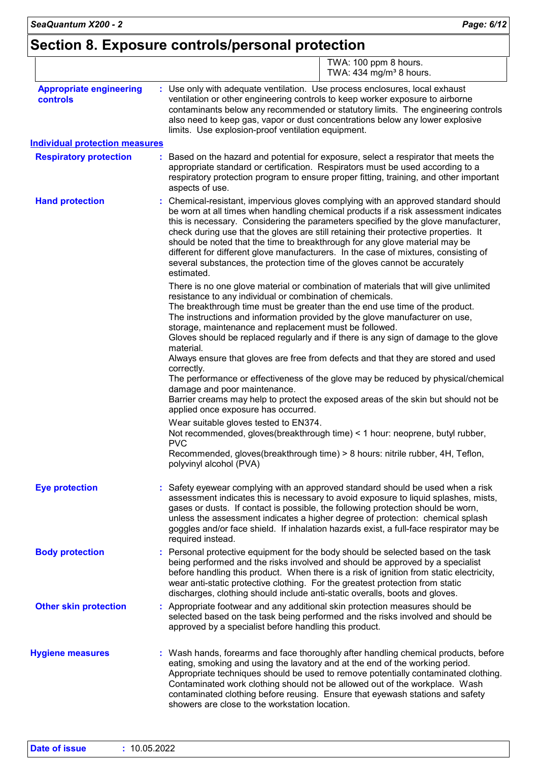## **Section 8. Exposure controls/personal protection**

|                                            | TWA: 100 ppm 8 hours.<br>TWA: 434 mg/m <sup>3</sup> 8 hours.                                                                                                                                                                                                                                                                                                                                                                                                                                                                                                                                                              |
|--------------------------------------------|---------------------------------------------------------------------------------------------------------------------------------------------------------------------------------------------------------------------------------------------------------------------------------------------------------------------------------------------------------------------------------------------------------------------------------------------------------------------------------------------------------------------------------------------------------------------------------------------------------------------------|
| <b>Appropriate engineering</b><br>controls | : Use only with adequate ventilation. Use process enclosures, local exhaust<br>ventilation or other engineering controls to keep worker exposure to airborne<br>contaminants below any recommended or statutory limits. The engineering controls<br>also need to keep gas, vapor or dust concentrations below any lower explosive<br>limits. Use explosion-proof ventilation equipment.                                                                                                                                                                                                                                   |
| <b>Individual protection measures</b>      |                                                                                                                                                                                                                                                                                                                                                                                                                                                                                                                                                                                                                           |
| <b>Respiratory protection</b>              | Based on the hazard and potential for exposure, select a respirator that meets the<br>appropriate standard or certification. Respirators must be used according to a<br>respiratory protection program to ensure proper fitting, training, and other important<br>aspects of use.                                                                                                                                                                                                                                                                                                                                         |
| <b>Hand protection</b>                     | : Chemical-resistant, impervious gloves complying with an approved standard should<br>be worn at all times when handling chemical products if a risk assessment indicates<br>this is necessary. Considering the parameters specified by the glove manufacturer,<br>check during use that the gloves are still retaining their protective properties. It<br>should be noted that the time to breakthrough for any glove material may be<br>different for different glove manufacturers. In the case of mixtures, consisting of<br>several substances, the protection time of the gloves cannot be accurately<br>estimated. |
|                                            | There is no one glove material or combination of materials that will give unlimited<br>resistance to any individual or combination of chemicals.<br>The breakthrough time must be greater than the end use time of the product.<br>The instructions and information provided by the glove manufacturer on use,<br>storage, maintenance and replacement must be followed.<br>Gloves should be replaced regularly and if there is any sign of damage to the glove<br>material.                                                                                                                                              |
|                                            | Always ensure that gloves are free from defects and that they are stored and used<br>correctly.<br>The performance or effectiveness of the glove may be reduced by physical/chemical<br>damage and poor maintenance.<br>Barrier creams may help to protect the exposed areas of the skin but should not be                                                                                                                                                                                                                                                                                                                |
|                                            | applied once exposure has occurred.<br>Wear suitable gloves tested to EN374.<br>Not recommended, gloves(breakthrough time) < 1 hour: neoprene, butyl rubber,<br><b>PVC</b><br>Recommended, gloves(breakthrough time) > 8 hours: nitrile rubber, 4H, Teflon,<br>polyvinyl alcohol (PVA)                                                                                                                                                                                                                                                                                                                                    |
| <b>Eye protection</b>                      | Safety eyewear complying with an approved standard should be used when a risk<br>assessment indicates this is necessary to avoid exposure to liquid splashes, mists,<br>gases or dusts. If contact is possible, the following protection should be worn,<br>unless the assessment indicates a higher degree of protection: chemical splash<br>goggles and/or face shield. If inhalation hazards exist, a full-face respirator may be<br>required instead.                                                                                                                                                                 |
| <b>Body protection</b>                     | : Personal protective equipment for the body should be selected based on the task<br>being performed and the risks involved and should be approved by a specialist<br>before handling this product. When there is a risk of ignition from static electricity,<br>wear anti-static protective clothing. For the greatest protection from static<br>discharges, clothing should include anti-static overalls, boots and gloves.                                                                                                                                                                                             |
| <b>Other skin protection</b>               | : Appropriate footwear and any additional skin protection measures should be<br>selected based on the task being performed and the risks involved and should be<br>approved by a specialist before handling this product.                                                                                                                                                                                                                                                                                                                                                                                                 |
| <b>Hygiene measures</b>                    | : Wash hands, forearms and face thoroughly after handling chemical products, before<br>eating, smoking and using the lavatory and at the end of the working period.<br>Appropriate techniques should be used to remove potentially contaminated clothing.<br>Contaminated work clothing should not be allowed out of the workplace. Wash<br>contaminated clothing before reusing. Ensure that eyewash stations and safety<br>showers are close to the workstation location.                                                                                                                                               |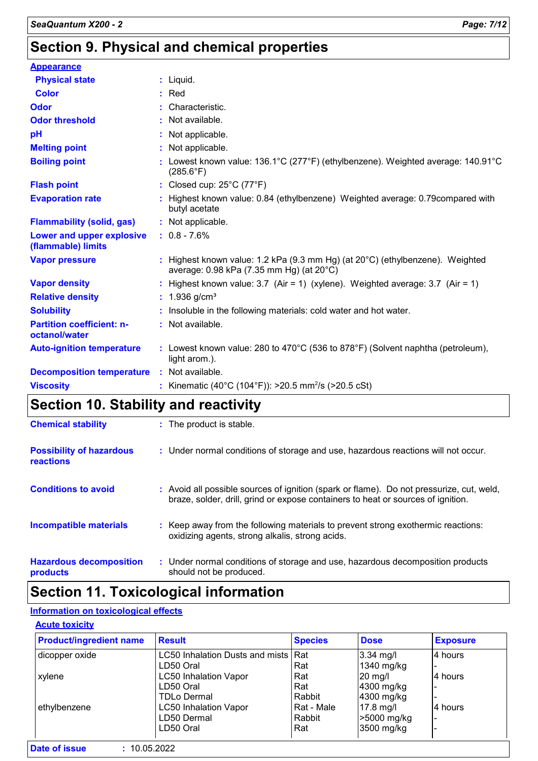## **Section 9. Physical and chemical properties**

| <b>Appearance</b>                                 |                                                                                                                           |
|---------------------------------------------------|---------------------------------------------------------------------------------------------------------------------------|
| <b>Physical state</b>                             | $:$ Liquid.                                                                                                               |
| <b>Color</b>                                      | $:$ Red                                                                                                                   |
| <b>Odor</b>                                       | : Characteristic.                                                                                                         |
| <b>Odor threshold</b>                             | : Not available.                                                                                                          |
| pH                                                | : Not applicable.                                                                                                         |
| <b>Melting point</b>                              | : Not applicable.                                                                                                         |
| <b>Boiling point</b>                              | : Lowest known value: 136.1°C (277°F) (ethylbenzene). Weighted average: 140.91°C<br>$(285.6^{\circ}F)$                    |
| <b>Flash point</b>                                | : Closed cup: $25^{\circ}$ C (77 $^{\circ}$ F)                                                                            |
| <b>Evaporation rate</b>                           | : Highest known value: 0.84 (ethylbenzene) Weighted average: 0.79 compared with<br>butyl acetate                          |
| <b>Flammability (solid, gas)</b>                  | : Not applicable.                                                                                                         |
| Lower and upper explosive<br>(flammable) limits   | $: 0.8 - 7.6%$                                                                                                            |
| <b>Vapor pressure</b>                             | : Highest known value: 1.2 kPa (9.3 mm Hg) (at 20°C) (ethylbenzene). Weighted<br>average: 0.98 kPa (7.35 mm Hg) (at 20°C) |
| <b>Vapor density</b>                              | : Highest known value: $3.7$ (Air = 1) (xylene). Weighted average: $3.7$ (Air = 1)                                        |
| <b>Relative density</b>                           | : $1.936$ g/cm <sup>3</sup>                                                                                               |
| <b>Solubility</b>                                 | : Insoluble in the following materials: cold water and hot water.                                                         |
| <b>Partition coefficient: n-</b><br>octanol/water | : Not available.                                                                                                          |
| <b>Auto-ignition temperature</b>                  | : Lowest known value: 280 to 470 $^{\circ}$ C (536 to 878 $^{\circ}$ F) (Solvent naphtha (petroleum),<br>light arom.).    |
| <b>Decomposition temperature</b>                  | : Not available.                                                                                                          |
| <b>Viscosity</b>                                  | : Kinematic (40°C (104°F)): >20.5 mm <sup>2</sup> /s (>20.5 cSt)                                                          |

## **Section 10. Stability and reactivity**

| <b>Chemical stability</b>                    | : The product is stable.                                                                                                                                                     |
|----------------------------------------------|------------------------------------------------------------------------------------------------------------------------------------------------------------------------------|
| <b>Possibility of hazardous</b><br>reactions | : Under normal conditions of storage and use, hazardous reactions will not occur.                                                                                            |
| <b>Conditions to avoid</b>                   | : Avoid all possible sources of ignition (spark or flame). Do not pressurize, cut, weld,<br>braze, solder, drill, grind or expose containers to heat or sources of ignition. |
| <b>Incompatible materials</b>                | : Keep away from the following materials to prevent strong exothermic reactions:<br>oxidizing agents, strong alkalis, strong acids.                                          |
| <b>Hazardous decomposition</b><br>products   | : Under normal conditions of storage and use, hazardous decomposition products<br>should not be produced.                                                                    |

## **Section 11. Toxicological information**

#### **Information on toxicological effects**

#### **Acute toxicity**

| <b>Product/ingredient name</b> | <b>Result</b>                       | <b>Species</b><br><b>Dose</b> |             | <b>Exposure</b> |  |
|--------------------------------|-------------------------------------|-------------------------------|-------------|-----------------|--|
| dicopper oxide                 | LC50 Inhalation Dusts and mists Rat |                               | $3.34$ mg/l | 4 hours         |  |
|                                | LD50 Oral                           | Rat                           | 1340 mg/kg  |                 |  |
| xylene                         | <b>LC50 Inhalation Vapor</b>        | Rat                           | $20$ mg/    | l4 hours        |  |
|                                | LD50 Oral                           | Rat                           | 4300 mg/kg  |                 |  |
|                                | TDLo Dermal                         | Rabbit                        | 4300 mg/kg  |                 |  |
| ethylbenzene                   | <b>LC50 Inhalation Vapor</b>        | Rat - Male                    | $17.8$ mg/l | l4 hours        |  |
|                                | LD50 Dermal                         | Rabbit                        | >5000 mg/kg |                 |  |
|                                | LD50 Oral                           | Rat                           | 3500 mg/kg  |                 |  |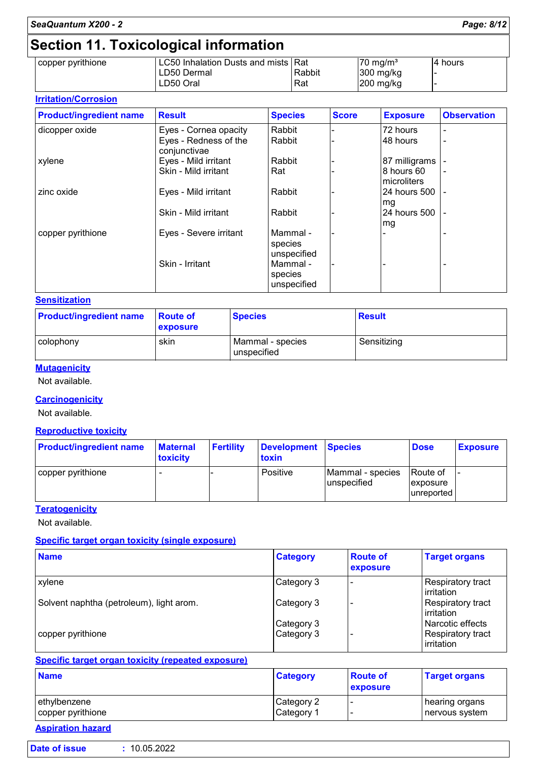## **Section 11. Toxicological information**

| copper pyrithione | LC50 Inhalation Dusts and mists   Rat |        | $70 \text{ ma/m}^3$ | 14 hours |
|-------------------|---------------------------------------|--------|---------------------|----------|
|                   | LD50 Dermal                           | Rabbit | $300$ mg/kg         |          |
|                   | LD50 Oral                             | Rat    | $200$ mg/kg         |          |
|                   |                                       |        |                     |          |

#### **Irritation/Corrosion**

| <b>Product/ingredient name</b> | <b>Result</b>                         | <b>Species</b>                     | <b>Score</b> | <b>Exposure</b>            | <b>Observation</b> |
|--------------------------------|---------------------------------------|------------------------------------|--------------|----------------------------|--------------------|
| dicopper oxide                 | Eyes - Cornea opacity                 | Rabbit                             |              | 72 hours                   |                    |
|                                | Eyes - Redness of the<br>conjunctivae | Rabbit                             |              | 48 hours                   | -                  |
| xylene                         | Eyes - Mild irritant                  | Rabbit                             |              | 87 milligrams              |                    |
|                                | Skin - Mild irritant                  | Rat                                |              | 8 hours 60<br>Imicroliters |                    |
| zinc oxide                     | Eyes - Mild irritant                  | Rabbit                             |              | 24 hours 500<br>mg         |                    |
|                                | Skin - Mild irritant                  | Rabbit                             |              | 24 hours 500<br>mg         |                    |
| copper pyrithione              | Eyes - Severe irritant                | Mammal -<br>species<br>unspecified |              |                            |                    |
|                                | Skin - Irritant                       | Mammal -<br>species<br>unspecified |              |                            |                    |

#### **Sensitization**

| <b>Product/ingredient name</b> | <b>Route of</b><br><b>exposure</b> | <b>Species</b>                    | <b>Result</b> |
|--------------------------------|------------------------------------|-----------------------------------|---------------|
| colophony                      | skin                               | Mammal - species<br>I unspecified | Sensitizing   |

#### **Mutagenicity**

Not available.

#### **Carcinogenicity**

Not available.

#### **Reproductive toxicity**

| <b>Product/ingredient name</b> | <b>Maternal</b><br><b>toxicity</b> | <b>Fertility</b> | Development Species<br>toxin |                                 | <b>Dose</b>                           | <b>Exposure</b> |
|--------------------------------|------------------------------------|------------------|------------------------------|---------------------------------|---------------------------------------|-----------------|
| copper pyrithione              |                                    |                  | Positive                     | Mammal - species<br>unspecified | Route of<br> exposure <br>lunreported |                 |

#### **Teratogenicity**

Not available.

#### **Specific target organ toxicity (single exposure)**

| <b>Name</b>                              | <b>Category</b> | <b>Route of</b><br>exposure | <b>Target organs</b>                     |
|------------------------------------------|-----------------|-----------------------------|------------------------------------------|
| <b>xylene</b>                            | Category 3      |                             | Respiratory tract<br><b>l</b> irritation |
| Solvent naphtha (petroleum), light arom. | Category 3      |                             | Respiratory tract<br>l irritation        |
|                                          | Category 3      |                             | Narcotic effects                         |
| copper pyrithione                        | Category 3      |                             | Respiratory tract<br>irritation          |

#### **Specific target organ toxicity (repeated exposure)**

| <b>Name</b>       | <b>Category</b>       | <b>Route of</b><br><b>exposure</b> | <b>Target organs</b> |
|-------------------|-----------------------|------------------------------------|----------------------|
| ethylbenzene      | Category 2            | -                                  | hearing organs       |
| copper pyrithione | Category <sup>1</sup> |                                    | nervous system       |

## **Aspiration hazard**

ľ

| Date of issue | : 10.05.2022 |
|---------------|--------------|
|               |              |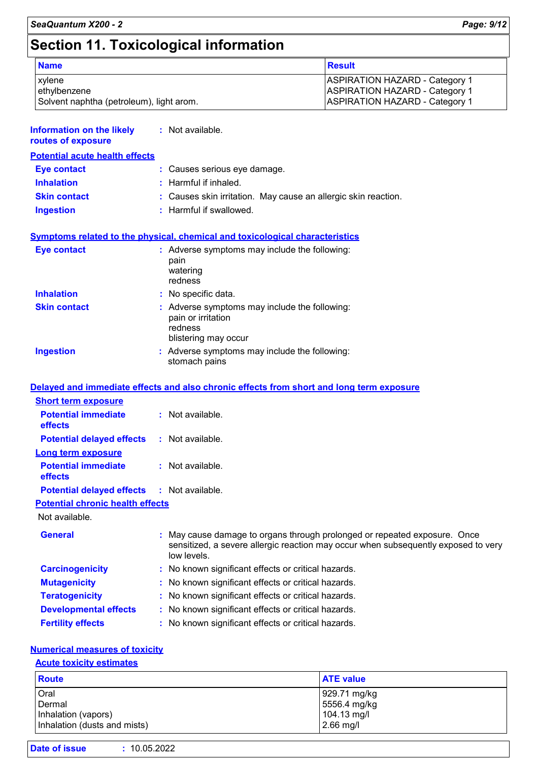## **Section 11. Toxicological information**

| <b>Name</b>                              | <b>Result</b>                         |
|------------------------------------------|---------------------------------------|
| <b>xylene</b>                            | <b>ASPIRATION HAZARD - Category 1</b> |
| ethylbenzene                             | <b>ASPIRATION HAZARD - Category 1</b> |
| Solvent naphtha (petroleum), light arom. | <b>ASPIRATION HAZARD - Category 1</b> |

| <b>Information on the likely : Not available.</b><br>routes of exposure |                                                                                                                                                          |
|-------------------------------------------------------------------------|----------------------------------------------------------------------------------------------------------------------------------------------------------|
| <b>Potential acute health effects</b>                                   |                                                                                                                                                          |
| Eye contact                                                             | : Causes serious eye damage.                                                                                                                             |
| <b>Inhalation</b>                                                       | $:$ Harmful if inhaled.                                                                                                                                  |
| <b>Skin contact</b>                                                     | : Causes skin irritation. May cause an allergic skin reaction.                                                                                           |
| <b>Ingestion</b>                                                        | : Harmful if swallowed.                                                                                                                                  |
| Eye contact                                                             | <b>Symptoms related to the physical, chemical and toxicological characteristics</b><br>: Adverse symptoms may include the following:<br>pain<br>watering |
| <b>Inhalation</b>                                                       | redness<br>: No specific data.                                                                                                                           |
|                                                                         |                                                                                                                                                          |
| <b>Skin contact</b>                                                     | : Adverse symptoms may include the following:<br>pain or irritation<br>redness<br>blistering may occur                                                   |
| <b>Ingestion</b>                                                        | : Adverse symptoms may include the following:<br>stomach pains                                                                                           |

#### **Delayed and immediate effects and also chronic effects from short and long term exposure**

| <b>Short term exposure</b>                        |                                                                                                                                                                              |
|---------------------------------------------------|------------------------------------------------------------------------------------------------------------------------------------------------------------------------------|
| <b>Potential immediate</b><br><b>effects</b>      | $:$ Not available.                                                                                                                                                           |
| <b>Potential delayed effects</b>                  | $:$ Not available.                                                                                                                                                           |
| Long term exposure                                |                                                                                                                                                                              |
| <b>Potential immediate</b><br>effects             | $:$ Not available.                                                                                                                                                           |
| <b>Potential delayed effects : Not available.</b> |                                                                                                                                                                              |
| <b>Potential chronic health effects</b>           |                                                                                                                                                                              |
| Not available.                                    |                                                                                                                                                                              |
| <b>General</b>                                    | May cause damage to organs through prolonged or repeated exposure. Once<br>sensitized, a severe allergic reaction may occur when subsequently exposed to very<br>low levels. |
| <b>Carcinogenicity</b>                            | : No known significant effects or critical hazards.                                                                                                                          |
| <b>Mutagenicity</b>                               | : No known significant effects or critical hazards.                                                                                                                          |
| <b>Teratogenicity</b>                             | : No known significant effects or critical hazards.                                                                                                                          |
| <b>Developmental effects</b>                      | : No known significant effects or critical hazards.                                                                                                                          |
| <b>Fertility effects</b>                          | : No known significant effects or critical hazards.                                                                                                                          |

#### **Numerical measures of toxicity**

#### **Acute toxicity estimates**

| <b>Route</b>                 | <b>ATE value</b> |
|------------------------------|------------------|
| Oral                         | 929.71 mg/kg     |
| Dermal                       | 5556.4 mg/kg     |
| Inhalation (vapors)          | 104.13 mg/l      |
| Inhalation (dusts and mists) | $2.66$ mg/l      |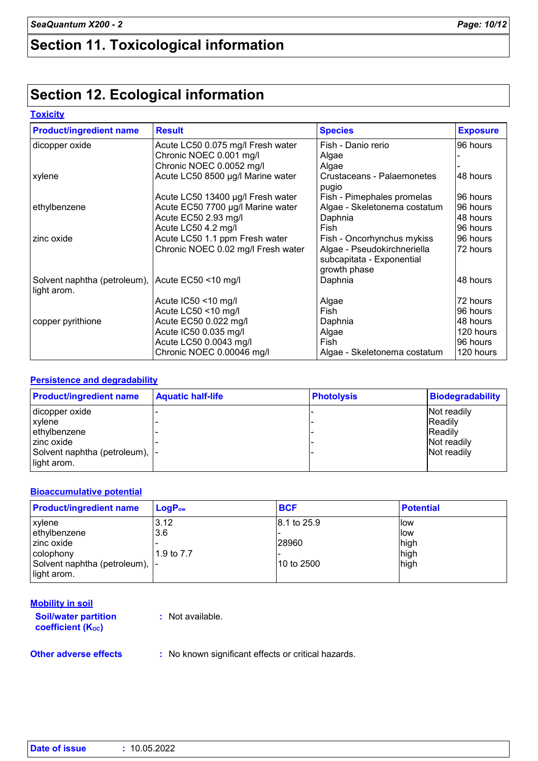## **Section 11. Toxicological information**

## **Section 12. Ecological information**

#### **Toxicity**

| <b>Product/ingredient name</b>                                  | <b>Result</b>                      | <b>Species</b>                                                           | <b>Exposure</b> |
|-----------------------------------------------------------------|------------------------------------|--------------------------------------------------------------------------|-----------------|
| dicopper oxide                                                  | Acute LC50 0.075 mg/l Fresh water  | Fish - Danio rerio                                                       | 96 hours        |
|                                                                 | Chronic NOEC 0.001 mg/l            | Algae                                                                    |                 |
|                                                                 | Chronic NOEC 0.0052 mg/l           | Algae                                                                    |                 |
| xylene                                                          | Acute LC50 8500 µg/l Marine water  | Crustaceans - Palaemonetes<br>pugio                                      | 48 hours        |
|                                                                 | Acute LC50 13400 µg/l Fresh water  | Fish - Pimephales promelas                                               | 96 hours        |
| ethylbenzene                                                    | Acute EC50 7700 µg/l Marine water  | Algae - Skeletonema costatum                                             | 96 hours        |
|                                                                 | Acute EC50 2.93 mg/l               | Daphnia                                                                  | 48 hours        |
|                                                                 | Acute LC50 4.2 mg/l                | Fish                                                                     | 96 hours        |
| zinc oxide                                                      | Acute LC50 1.1 ppm Fresh water     | Fish - Oncorhynchus mykiss                                               | 96 hours        |
|                                                                 | Chronic NOEC 0.02 mg/l Fresh water | Algae - Pseudokirchneriella<br>subcapitata - Exponential<br>growth phase | 72 hours        |
| Solvent naphtha (petroleum), Acute EC50 <10 mg/l<br>light arom. |                                    | Daphnia                                                                  | 48 hours        |
|                                                                 | Acute $IC50 < 10$ mg/l             | Algae                                                                    | 72 hours        |
|                                                                 | Acute LC50 <10 mg/l                | Fish                                                                     | 96 hours        |
| copper pyrithione                                               | Acute EC50 0.022 mg/l              | Daphnia                                                                  | 48 hours        |
|                                                                 | Acute IC50 0.035 mg/l              | Algae                                                                    | 120 hours       |
|                                                                 | Acute LC50 0.0043 mg/l             | Fish                                                                     | 96 hours        |
|                                                                 | Chronic NOEC 0.00046 mg/l          | Algae - Skeletonema costatum                                             | 120 hours       |

#### **Persistence and degradability**

| <b>Product/ingredient name</b>  | <b>Aquatic half-life</b> | <b>Photolysis</b> | <b>Biodegradability</b> |
|---------------------------------|--------------------------|-------------------|-------------------------|
| dicopper oxide                  |                          |                   | Not readily             |
| <b>xylene</b>                   |                          |                   | <b>Readily</b>          |
| ethylbenzene                    |                          |                   | <b>Readily</b>          |
| I zinc oxide                    |                          |                   | Not readily             |
| Solvent naphtha (petroleum),  - |                          |                   | Not readily             |
| light arom.                     |                          |                   |                         |

#### **Bioaccumulative potential**

| <b>Product/ingredient name</b>  | $LogP_{ow}$ | <b>BCF</b>  | <b>Potential</b> |
|---------------------------------|-------------|-------------|------------------|
| xylene                          | 3.12        | 8.1 to 25.9 | <b>llow</b>      |
| ethylbenzene                    | 3.6         |             | llow             |
| zinc oxide                      |             | 28960       | high             |
| colophony                       | 1.9 to 7.7  |             | high             |
| Solvent naphtha (petroleum),  - |             | 10 to 2500  | high             |
| light arom.                     |             |             |                  |

| <b>Mobility in soil</b>                                 |                  |
|---------------------------------------------------------|------------------|
| <b>Soil/water partition</b><br><b>coefficient (Koc)</b> | : Not available. |
|                                                         |                  |

**Other adverse effects** : No known significant effects or critical hazards.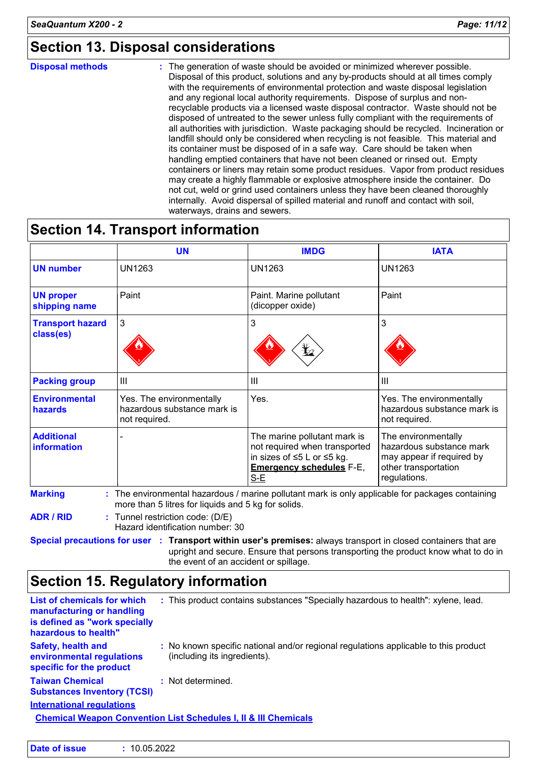## **Section 13. Disposal considerations**

#### **Disposal methods :**

The generation of waste should be avoided or minimized wherever possible. Disposal of this product, solutions and any by-products should at all times comply with the requirements of environmental protection and waste disposal legislation and any regional local authority requirements. Dispose of surplus and nonrecyclable products via a licensed waste disposal contractor. Waste should not be disposed of untreated to the sewer unless fully compliant with the requirements of all authorities with jurisdiction. Waste packaging should be recycled. Incineration or landfill should only be considered when recycling is not feasible. This material and its container must be disposed of in a safe way. Care should be taken when handling emptied containers that have not been cleaned or rinsed out. Empty containers or liners may retain some product residues. Vapor from product residues may create a highly flammable or explosive atmosphere inside the container. Do not cut, weld or grind used containers unless they have been cleaned thoroughly internally. Avoid dispersal of spilled material and runoff and contact with soil, waterways, drains and sewers.

## **Section 14. Transport information**

|                                      | <b>UN</b>                                                                | <b>IMDG</b>                                                                                                                             | <b>IATA</b>                                                                                                          |
|--------------------------------------|--------------------------------------------------------------------------|-----------------------------------------------------------------------------------------------------------------------------------------|----------------------------------------------------------------------------------------------------------------------|
| <b>UN number</b>                     | <b>UN1263</b>                                                            | <b>UN1263</b>                                                                                                                           | <b>UN1263</b>                                                                                                        |
| <b>UN proper</b><br>shipping name    | Paint                                                                    | Paint. Marine pollutant<br>(dicopper oxide)                                                                                             | Paint                                                                                                                |
| <b>Transport hazard</b><br>class(es) | 3                                                                        | 3<br>y                                                                                                                                  | 3                                                                                                                    |
| <b>Packing group</b>                 | $\mathbf{III}$                                                           | Ш                                                                                                                                       | $\mathbf{III}$                                                                                                       |
| <b>Environmental</b><br>hazards      | Yes. The environmentally<br>hazardous substance mark is<br>not required. | Yes.                                                                                                                                    | Yes. The environmentally<br>hazardous substance mark is<br>not required.                                             |
| <b>Additional</b><br>information     |                                                                          | The marine pollutant mark is<br>not required when transported<br>in sizes of ≤5 L or ≤5 kg.<br><b>Emergency schedules F-E,</b><br>$S-E$ | The environmentally<br>hazardous substance mark<br>may appear if required by<br>other transportation<br>regulations. |

**ADR / RID :** Tunnel restriction code: (D/E)

Hazard identification number: 30

**Special precautions for user Transport within user's premises:** always transport in closed containers that are **:** upright and secure. Ensure that persons transporting the product know what to do in the event of an accident or spillage.

## **Section 15. Regulatory information**

| <b>List of chemicals for which</b><br>manufacturing or handling<br>is defined as "work specially<br>hazardous to health" |  | : This product contains substances "Specially hazardous to health": xylene, lead.                                   |  |
|--------------------------------------------------------------------------------------------------------------------------|--|---------------------------------------------------------------------------------------------------------------------|--|
| <b>Safety, health and</b><br>environmental regulations<br>specific for the product                                       |  | : No known specific national and/or regional regulations applicable to this product<br>(including its ingredients). |  |
| <b>Taiwan Chemical</b><br><b>Substances Inventory (TCSI)</b>                                                             |  | : Not determined.                                                                                                   |  |
| <b>International requlations</b>                                                                                         |  |                                                                                                                     |  |
| <b>Chemical Weapon Convention List Schedules I, II &amp; III Chemicals</b>                                               |  |                                                                                                                     |  |